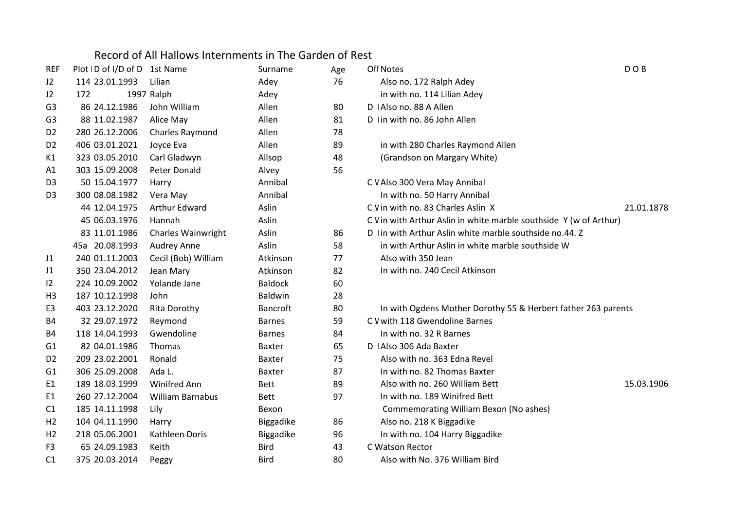## Record of All Hallows Internments in The Garden of Rest

| REF            | Plot ID of I/D of D 1st Name |                           | Surname          | Age | <b>Off Notes</b>                                                   | DOB        |
|----------------|------------------------------|---------------------------|------------------|-----|--------------------------------------------------------------------|------------|
| J2             | 114 23.01.1993               | Lilian                    | Adey             | 76  | Also no. 172 Ralph Adey                                            |            |
| J2             | 172                          | 1997 Ralph                | Adey             |     | in with no. 114 Lilian Adey                                        |            |
| G <sub>3</sub> | 86 24.12.1986                | John William              | Allen            | 80  | D   Also no. 88 A Allen                                            |            |
| G <sub>3</sub> | 88 11.02.1987                | Alice May                 | Allen            | 81  | D In with no. 86 John Allen                                        |            |
| D <sub>2</sub> | 280 26.12.2006               | Charles Raymond           | Allen            | 78  |                                                                    |            |
| D <sub>2</sub> | 406 03.01.2021               | Joyce Eva                 | Allen            | 89  | in with 280 Charles Raymond Allen                                  |            |
| K1             | 323 03.05.2010               | Carl Gladwyn              | Allsop           | 48  | (Grandson on Margary White)                                        |            |
| A1             | 303 15.09.2008               | Peter Donald              | Alvey            | 56  |                                                                    |            |
| D <sub>3</sub> | 50 15.04.1977                | Harry                     | Annibal          |     | C V Also 300 Vera May Annibal                                      |            |
| D <sub>3</sub> | 300 08.08.1982               | Vera May                  | Annibal          |     | In with no. 50 Harry Annibal                                       |            |
|                | 44 12.04.1975                | <b>Arthur Edward</b>      | Aslin            |     | C V in with no. 83 Charles Aslin X                                 | 21.01.1878 |
|                | 45 06.03.1976                | Hannah                    | Aslin            |     | C V in with Arthur Aslin in white marble southside Y (w of Arthur) |            |
|                | 83 11.01.1986                | <b>Charles Wainwright</b> | Aslin            | 86  | D In with Arthur Aslin white marble southside no.44. Z             |            |
|                | 45a 20.08.1993               | Audrey Anne               | Aslin            | 58  | in with Arthur Aslin in white marble southside W                   |            |
| J1             | 240 01.11.2003               | Cecil (Bob) William       | Atkinson         | 77  | Also with 350 Jean                                                 |            |
| J1             | 350 23.04.2012               | Jean Mary                 | Atkinson         | 82  | In with no. 240 Cecil Atkinson                                     |            |
| 12             | 224 10.09.2002               | Yolande Jane              | <b>Baldock</b>   | 60  |                                                                    |            |
| H <sub>3</sub> | 187 10.12.1998               | John                      | Baldwin          | 28  |                                                                    |            |
| E <sub>3</sub> | 403 23.12.2020               | <b>Rita Dorothy</b>       | <b>Bancroft</b>  | 80  | In with Ogdens Mother Dorothy 55 & Herbert father 263 parents      |            |
| B4             | 32 29.07.1972                | Reymond                   | <b>Barnes</b>    | 59  | C V with 118 Gwendoline Barnes                                     |            |
| B <sub>4</sub> | 118 14.04.1993               | Gwendoline                | <b>Barnes</b>    | 84  | In with no. 32 R Barnes                                            |            |
| G1             | 82 04.01.1986                | Thomas                    | <b>Baxter</b>    | 65  | D   Also 306 Ada Baxter                                            |            |
| D <sub>2</sub> | 209 23.02.2001               | Ronald                    | <b>Baxter</b>    | 75  | Also with no. 363 Edna Revel                                       |            |
| G <sub>1</sub> | 306 25.09.2008               | Ada L.                    | Baxter           | 87  | In with no. 82 Thomas Baxter                                       |            |
| E1             | 189 18.03.1999               | <b>Winifred Ann</b>       | <b>Bett</b>      | 89  | Also with no. 260 William Bett                                     | 15.03.1906 |
| E <sub>1</sub> | 260 27.12.2004               | <b>William Barnabus</b>   | <b>Bett</b>      | 97  | In with no. 189 Winifred Bett                                      |            |
| C1             | 185 14.11.1998               | Lily                      | Bexon            |     | Commemorating William Bexon (No ashes)                             |            |
| H <sub>2</sub> | 104 04.11.1990               | Harry                     | <b>Biggadike</b> | 86  | Also no. 218 K Biggadike                                           |            |
| H <sub>2</sub> | 218 05.06.2001               | Kathleen Doris            | Biggadike        | 96  | In with no. 104 Harry Biggadike                                    |            |
| F <sub>3</sub> | 65 24.09.1983                | Keith                     | <b>Bird</b>      | 43  | C Watson Rector                                                    |            |
| C <sub>1</sub> | 375 20.03.2014               | Peggy                     | <b>Bird</b>      | 80  | Also with No. 376 William Bird                                     |            |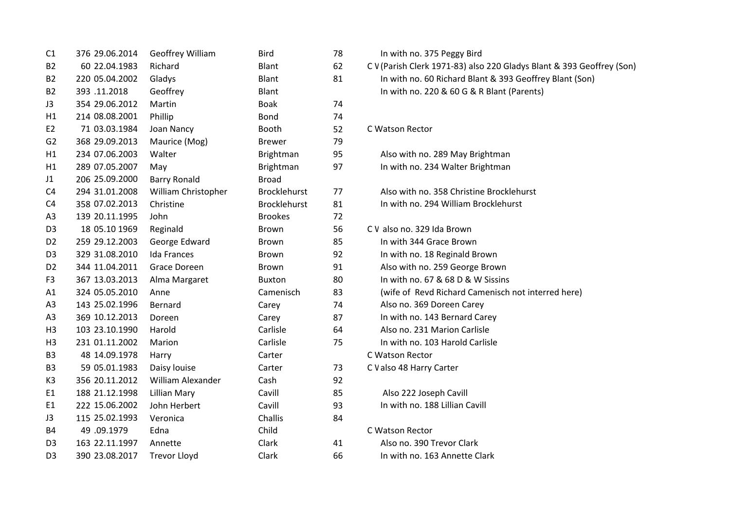| C1             | 376 29.06.2014 | Geoffrey William    | <b>Bird</b>         | 78 | In with no. 375 Peggy Bird                                            |
|----------------|----------------|---------------------|---------------------|----|-----------------------------------------------------------------------|
| <b>B2</b>      | 60 22.04.1983  | Richard             | Blant               | 62 | C V (Parish Clerk 1971-83) also 220 Gladys Blant & 393 Geoffrey (Son) |
| <b>B2</b>      | 220 05.04.2002 | Gladys              | Blant               | 81 | In with no. 60 Richard Blant & 393 Geoffrey Blant (Son)               |
| <b>B2</b>      | 393.11.2018    | Geoffrey            | Blant               |    | In with no. 220 & 60 G & R Blant (Parents)                            |
| J3             | 354 29.06.2012 | Martin              | <b>Boak</b>         | 74 |                                                                       |
| H1             | 214 08.08.2001 | Phillip             | <b>Bond</b>         | 74 |                                                                       |
| E <sub>2</sub> | 71 03.03.1984  | Joan Nancy          | Booth               | 52 | C Watson Rector                                                       |
| G2             | 368 29.09.2013 | Maurice (Mog)       | <b>Brewer</b>       | 79 |                                                                       |
| H1             | 234 07.06.2003 | Walter              | Brightman           | 95 | Also with no. 289 May Brightman                                       |
| H1             | 289 07.05.2007 | May                 | Brightman           | 97 | In with no. 234 Walter Brightman                                      |
| J1             | 206 25.09.2000 | <b>Barry Ronald</b> | <b>Broad</b>        |    |                                                                       |
| C <sub>4</sub> | 294 31.01.2008 | William Christopher | <b>Brocklehurst</b> | 77 | Also with no. 358 Christine Brocklehurst                              |
| C <sub>4</sub> | 358 07.02.2013 | Christine           | <b>Brocklehurst</b> | 81 | In with no. 294 William Brocklehurst                                  |
| A <sub>3</sub> | 139 20.11.1995 | John                | <b>Brookes</b>      | 72 |                                                                       |
| D <sub>3</sub> | 18 05.10 1969  | Reginald            | <b>Brown</b>        | 56 | C V also no. 329 Ida Brown                                            |
| D <sub>2</sub> | 259 29.12.2003 | George Edward       | Brown               | 85 | In with 344 Grace Brown                                               |
| D <sub>3</sub> | 329 31.08.2010 | <b>Ida Frances</b>  | Brown               | 92 | In with no. 18 Reginald Brown                                         |
| D <sub>2</sub> | 344 11.04.2011 | Grace Doreen        | <b>Brown</b>        | 91 | Also with no. 259 George Brown                                        |
| F <sub>3</sub> | 367 13.03.2013 | Alma Margaret       | <b>Buxton</b>       | 80 | In with no. 67 & 68 D & W Sissins                                     |
| A1             | 324 05.05.2010 | Anne                | Camenisch           | 83 | (wife of Revd Richard Camenisch not interred here)                    |
| A3             | 143 25.02.1996 | Bernard             | Carey               | 74 | Also no. 369 Doreen Carey                                             |
| A <sub>3</sub> | 369 10.12.2013 | Doreen              | Carey               | 87 | In with no. 143 Bernard Carey                                         |
| H <sub>3</sub> | 103 23.10.1990 | Harold              | Carlisle            | 64 | Also no. 231 Marion Carlisle                                          |
| H <sub>3</sub> | 231 01.11.2002 | Marion              | Carlisle            | 75 | In with no. 103 Harold Carlisle                                       |
| B <sub>3</sub> | 48 14.09.1978  | Harry               | Carter              |    | C Watson Rector                                                       |
| B <sub>3</sub> | 59 05.01.1983  | Daisy louise        | Carter              | 73 | C V also 48 Harry Carter                                              |
| K <sub>3</sub> | 356 20.11.2012 | William Alexander   | Cash                | 92 |                                                                       |
| E <sub>1</sub> | 188 21.12.1998 | Lillian Mary        | Cavill              | 85 | Also 222 Joseph Cavill                                                |
| E <sub>1</sub> | 222 15.06.2002 | John Herbert        | Cavill              | 93 | In with no. 188 Lillian Cavill                                        |
| J3             | 115 25.02.1993 | Veronica            | Challis             | 84 |                                                                       |
| <b>B4</b>      | 49.09.1979     | Edna                | Child               |    | C Watson Rector                                                       |
| D <sub>3</sub> | 163 22.11.1997 | Annette             | Clark               | 41 | Also no. 390 Trevor Clark                                             |
| D <sub>3</sub> | 390 23.08.2017 | <b>Trevor Lloyd</b> | Clark               | 66 | In with no. 163 Annette Clark                                         |

| In with no. 375 Peggy Bird                                        |
|-------------------------------------------------------------------|
| C V (Parish Clerk 1971-83) also 220 Gladys Blant & 393 Geoffrey ( |
| In with no. 60 Richard Blant & 393 Geoffrey Blant (Son)           |
| In with no. 220 & 60 G & R Blant (Parents)                        |
|                                                                   |
| C Watson Rector                                                   |
| Also with no. 289 May Brightman                                   |
| In with no. 234 Walter Brightman                                  |
| Also with no. 358 Christine Brocklehurst                          |
| In with no. 294 William Brocklehurst                              |
| C V also no. 329 Ida Brown                                        |
| In with 344 Grace Brown                                           |
| In with no. 18 Reginald Brown                                     |
| Also with no. 259 George Brown                                    |
| In with no. 67 & 68 D & W Sissins                                 |
| (wife of Revd Richard Camenisch not interred here)                |
| Also no. 369 Doreen Carey                                         |
| In with no. 143 Bernard Carey                                     |
| Also no. 231 Marion Carlisle                                      |
| In with no. 103 Harold Carlisle                                   |
| C Watson Rector                                                   |
| C V also 48 Harry Carter                                          |
| Also 222 Joseph Cavill                                            |
| In with no. 188 Lillian Cavill                                    |
| C Watson Rector                                                   |
| Also no. 390 Trevor Clark                                         |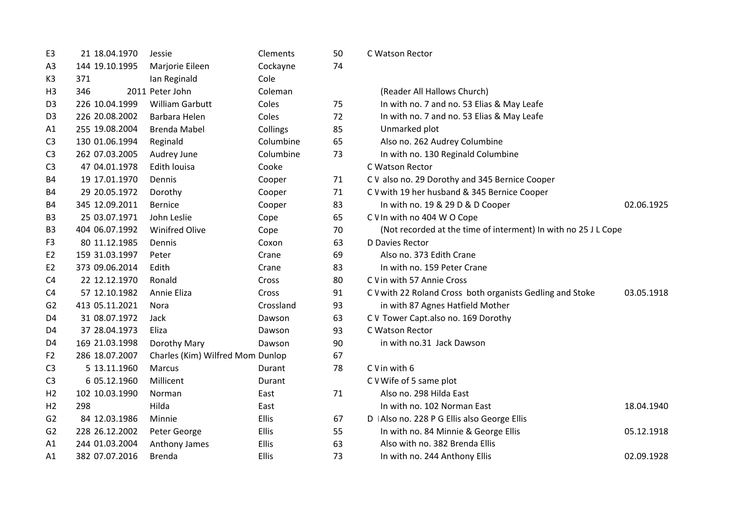| E <sub>3</sub> | 21 18.04.1970  | Jessie                           | Clements     | 50 | C Watson Rector                                                |            |
|----------------|----------------|----------------------------------|--------------|----|----------------------------------------------------------------|------------|
| A <sub>3</sub> | 144 19.10.1995 | Marjorie Eileen                  | Cockayne     | 74 |                                                                |            |
| K <sub>3</sub> | 371            | Ian Reginald                     | Cole         |    |                                                                |            |
| H <sub>3</sub> | 346            | 2011 Peter John                  | Coleman      |    | (Reader All Hallows Church)                                    |            |
| D <sub>3</sub> | 226 10.04.1999 | <b>William Garbutt</b>           | Coles        | 75 | In with no. 7 and no. 53 Elias & May Leafe                     |            |
| D <sub>3</sub> | 226 20.08.2002 | Barbara Helen                    | Coles        | 72 | In with no. 7 and no. 53 Elias & May Leafe                     |            |
| A1             | 255 19.08.2004 | <b>Brenda Mabel</b>              | Collings     | 85 | Unmarked plot                                                  |            |
| C <sub>3</sub> | 130 01.06.1994 | Reginald                         | Columbine    | 65 | Also no. 262 Audrey Columbine                                  |            |
| C <sub>3</sub> | 262 07.03.2005 | Audrey June                      | Columbine    | 73 | In with no. 130 Reginald Columbine                             |            |
| C <sub>3</sub> | 47 04.01.1978  | Edith Iouisa                     | Cooke        |    | C Watson Rector                                                |            |
| <b>B4</b>      | 19 17.01.1970  | Dennis                           | Cooper       | 71 | C V also no. 29 Dorothy and 345 Bernice Cooper                 |            |
| <b>B4</b>      | 29 20.05.1972  | Dorothy                          | Cooper       | 71 | C V with 19 her husband & 345 Bernice Cooper                   |            |
| B4             | 345 12.09.2011 | <b>Bernice</b>                   | Cooper       | 83 | In with no. 19 & 29 D & D Cooper                               | 02.06.1925 |
| B <sub>3</sub> | 25 03.07.1971  | John Leslie                      | Cope         | 65 | C V In with no 404 W O Cope                                    |            |
| B <sub>3</sub> | 404 06.07.1992 | <b>Winifred Olive</b>            | Cope         | 70 | (Not recorded at the time of interment) In with no 25 J L Cope |            |
| F3             | 80 11.12.1985  | Dennis                           | Coxon        | 63 | D Davies Rector                                                |            |
| E <sub>2</sub> | 159 31.03.1997 | Peter                            | Crane        | 69 | Also no. 373 Edith Crane                                       |            |
| E <sub>2</sub> | 373 09.06.2014 | Edith                            | Crane        | 83 | In with no. 159 Peter Crane                                    |            |
| C <sub>4</sub> | 22 12.12.1970  | Ronald                           | Cross        | 80 | C V in with 57 Annie Cross                                     |            |
| C <sub>4</sub> | 57 12.10.1982  | Annie Eliza                      | Cross        | 91 | C V with 22 Roland Cross both organists Gedling and Stoke      | 03.05.1918 |
| G <sub>2</sub> | 413 05.11.2021 | Nora                             | Crossland    | 93 | in with 87 Agnes Hatfield Mother                               |            |
| D4             | 31 08.07.1972  | Jack                             | Dawson       | 63 | C V Tower Capt.also no. 169 Dorothy                            |            |
| D <sub>4</sub> | 37 28.04.1973  | Eliza                            | Dawson       | 93 | C Watson Rector                                                |            |
| D4             | 169 21.03.1998 | Dorothy Mary                     | Dawson       | 90 | in with no.31 Jack Dawson                                      |            |
| F <sub>2</sub> | 286 18.07.2007 | Charles (Kim) Wilfred Mom Dunlop |              | 67 |                                                                |            |
| C <sub>3</sub> | 5 13.11.1960   | Marcus                           | Durant       | 78 | C V in with 6                                                  |            |
| C <sub>3</sub> | 6 05.12.1960   | Millicent                        | Durant       |    | C V Wife of 5 same plot                                        |            |
| H <sub>2</sub> | 102 10.03.1990 | Norman                           | East         | 71 | Also no. 298 Hilda East                                        |            |
| H <sub>2</sub> | 298            | Hilda                            | East         |    | In with no. 102 Norman East                                    | 18.04.1940 |
| G <sub>2</sub> | 84 12.03.1986  | Minnie                           | Ellis        | 67 | D   Also no. 228 P G Ellis also George Ellis                   |            |
| G <sub>2</sub> | 228 26.12.2002 | Peter George                     | Ellis        | 55 | In with no. 84 Minnie & George Ellis                           | 05.12.1918 |
| A1             | 244 01.03.2004 | Anthony James                    | <b>Ellis</b> | 63 | Also with no. 382 Brenda Ellis                                 |            |
| A1             | 382 07.07.2016 | <b>Brenda</b>                    | <b>Ellis</b> | 73 | In with no. 244 Anthony Ellis                                  | 02.09.1928 |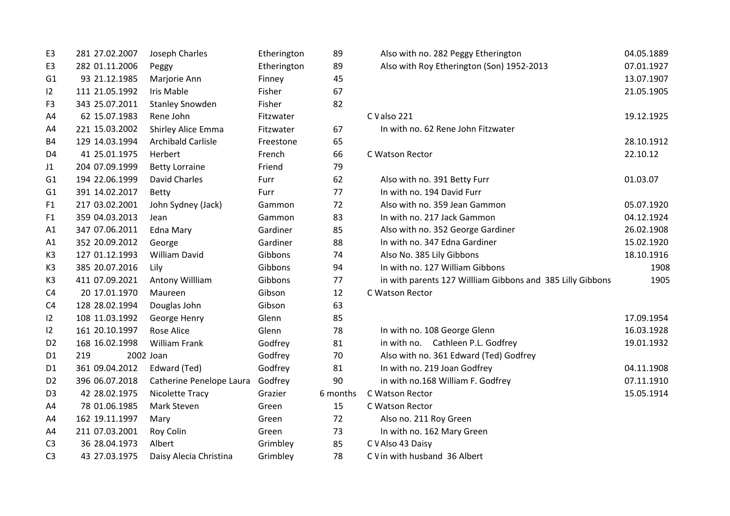| E <sub>3</sub> | 281 27.02.2007 | Joseph Charles            | Etherington | 89       | Also with no. 282 Peggy Etherington                        | 04.05.1889 |
|----------------|----------------|---------------------------|-------------|----------|------------------------------------------------------------|------------|
| E3             | 282 01.11.2006 | Peggy                     | Etherington | 89       | Also with Roy Etherington (Son) 1952-2013                  | 07.01.1927 |
| G1             | 93 21.12.1985  | Marjorie Ann              | Finney      | 45       |                                                            | 13.07.1907 |
| $ 2\rangle$    | 111 21.05.1992 | Iris Mable                | Fisher      | 67       |                                                            | 21.05.1905 |
| F <sub>3</sub> | 343 25.07.2011 | <b>Stanley Snowden</b>    | Fisher      | 82       |                                                            |            |
| A4             | 62 15.07.1983  | Rene John                 | Fitzwater   |          | C Valso 221                                                | 19.12.1925 |
| A4             | 221 15.03.2002 | Shirley Alice Emma        | Fitzwater   | 67       | In with no. 62 Rene John Fitzwater                         |            |
| <b>B4</b>      | 129 14.03.1994 | <b>Archibald Carlisle</b> | Freestone   | 65       |                                                            | 28.10.1912 |
| D4             | 41 25.01.1975  | Herbert                   | French      | 66       | C Watson Rector                                            | 22.10.12   |
| J1             | 204 07.09.1999 | <b>Betty Lorraine</b>     | Friend      | 79       |                                                            |            |
| G1             | 194 22.06.1999 | David Charles             | Furr        | 62       | Also with no. 391 Betty Furr                               | 01.03.07   |
| G1             | 391 14.02.2017 | <b>Betty</b>              | Furr        | 77       | In with no. 194 David Furr                                 |            |
| F <sub>1</sub> | 217 03.02.2001 | John Sydney (Jack)        | Gammon      | 72       | Also with no. 359 Jean Gammon                              | 05.07.1920 |
| F <sub>1</sub> | 359 04.03.2013 | Jean                      | Gammon      | 83       | In with no. 217 Jack Gammon                                | 04.12.1924 |
| A1             | 347 07.06.2011 | <b>Edna Mary</b>          | Gardiner    | 85       | Also with no. 352 George Gardiner                          | 26.02.1908 |
| A1             | 352 20.09.2012 | George                    | Gardiner    | 88       | In with no. 347 Edna Gardiner                              | 15.02.1920 |
| K3             | 127 01.12.1993 | <b>William David</b>      | Gibbons     | 74       | Also No. 385 Lily Gibbons                                  | 18.10.1916 |
| K3             | 385 20.07.2016 | Lily                      | Gibbons     | 94       | In with no. 127 William Gibbons                            | 1908       |
| K <sub>3</sub> | 411 07.09.2021 | Antony Willliam           | Gibbons     | 77       | in with parents 127 Willliam Gibbons and 385 Lilly Gibbons | 1905       |
| C <sub>4</sub> | 20 17.01.1970  | Maureen                   | Gibson      | 12       | C Watson Rector                                            |            |
| C <sub>4</sub> | 128 28.02.1994 | Douglas John              | Gibson      | 63       |                                                            |            |
| 12             | 108 11.03.1992 | George Henry              | Glenn       | 85       |                                                            | 17.09.1954 |
| $ 2\rangle$    | 161 20.10.1997 | <b>Rose Alice</b>         | Glenn       | 78       | In with no. 108 George Glenn                               | 16.03.1928 |
| D <sub>2</sub> | 168 16.02.1998 | <b>William Frank</b>      | Godfrey     | 81       | in with no. Cathleen P.L. Godfrey                          | 19.01.1932 |
| D <sub>1</sub> | 219            | 2002 Joan                 | Godfrey     | 70       | Also with no. 361 Edward (Ted) Godfrey                     |            |
| D <sub>1</sub> | 361 09.04.2012 | Edward (Ted)              | Godfrey     | 81       | In with no. 219 Joan Godfrey                               | 04.11.1908 |
| D <sub>2</sub> | 396 06.07.2018 | Catherine Penelope Laura  | Godfrey     | 90       | in with no.168 William F. Godfrey                          | 07.11.1910 |
| D <sub>3</sub> | 42 28.02.1975  | Nicolette Tracy           | Grazier     | 6 months | C Watson Rector                                            | 15.05.1914 |
| A4             | 78 01.06.1985  | Mark Steven               | Green       | 15       | C Watson Rector                                            |            |
| A4             | 162 19.11.1997 | Mary                      | Green       | 72       | Also no. 211 Roy Green                                     |            |
| A4             | 211 07.03.2001 | Roy Colin                 | Green       | 73       | In with no. 162 Mary Green                                 |            |
| C <sub>3</sub> | 36 28.04.1973  | Albert                    | Grimbley    | 85       | C V Also 43 Daisy                                          |            |
| C <sub>3</sub> | 43 27.03.1975  | Daisy Alecia Christina    | Grimbley    | 78       | C V in with husband 36 Albert                              |            |
|                |                |                           |             |          |                                                            |            |

| Also with no. 282 Peggy Etherington                        | 04.05.1889 |
|------------------------------------------------------------|------------|
| Also with Roy Etherington (Son) 1952-2013                  | 07.01.1927 |
|                                                            | 13.07.1907 |
|                                                            | 21.05.1905 |
| C V also 221                                               | 19.12.1925 |
| In with no. 62 Rene John Fitzwater                         |            |
|                                                            | 28.10.1912 |
| C Watson Rector                                            | 22.10.12   |
| Also with no. 391 Betty Furr                               | 01.03.07   |
| In with no. 194 David Furr                                 |            |
| Also with no. 359 Jean Gammon                              | 05.07.1920 |
| In with no. 217 Jack Gammon                                | 04.12.1924 |
| Also with no. 352 George Gardiner                          | 26.02.1908 |
| In with no. 347 Edna Gardiner                              | 15.02.1920 |
| Also No. 385 Lily Gibbons                                  | 18.10.1916 |
| In with no. 127 William Gibbons                            | 1908       |
| in with parents 127 Willliam Gibbons and 385 Lilly Gibbons | 1905       |
| C Watson Rector                                            |            |
|                                                            | 17.09.1954 |
| In with no. 108 George Glenn                               | 16.03.1928 |
| Cathleen P.L. Godfrey<br>in with no.                       | 19.01.1932 |
| Also with no. 361 Edward (Ted) Godfrey                     |            |
| In with no. 219 Joan Godfrey                               | 04.11.1908 |
| in with no.168 William F. Godfrey                          | 07.11.1910 |
| C Watson Rector                                            | 15.05.1914 |
| C Watson Rector                                            |            |
| Also no. 211 Roy Green                                     |            |
| In with no. 162 Mary Green                                 |            |
| C V Also 43 Daisy                                          |            |
| C V in with husband 36 Albert                              |            |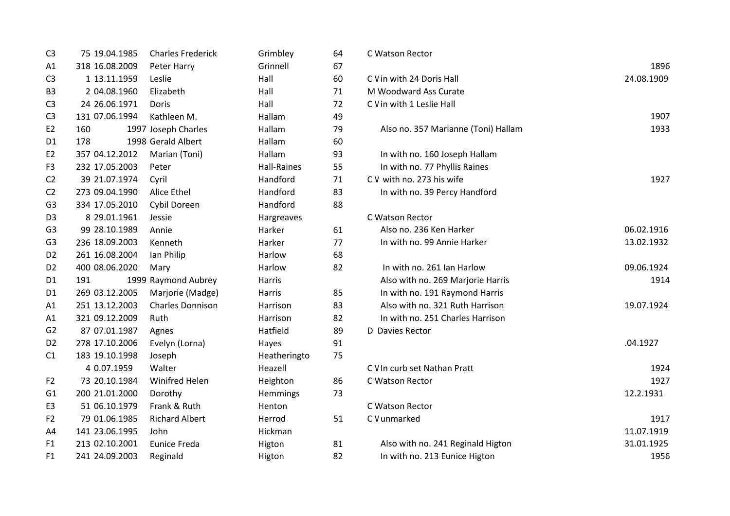| C <sub>3</sub> | 75 19.04.1985  | <b>Charles Frederick</b> | Grimbley           | 64 | C Watson Rector                     |            |
|----------------|----------------|--------------------------|--------------------|----|-------------------------------------|------------|
| A1             | 318 16.08.2009 | Peter Harry              | Grinnell           | 67 |                                     | 1896       |
| C <sub>3</sub> | 1 13.11.1959   | Leslie                   | Hall               | 60 | C V in with 24 Doris Hall           | 24.08.1909 |
| B <sub>3</sub> | 2 04.08.1960   | Elizabeth                | Hall               | 71 | M Woodward Ass Curate               |            |
| C <sub>3</sub> | 24 26.06.1971  | Doris                    | Hall               | 72 | C V in with 1 Leslie Hall           |            |
| C <sub>3</sub> | 131 07.06.1994 | Kathleen M.              | Hallam             | 49 |                                     | 1907       |
| E <sub>2</sub> | 160            | 1997 Joseph Charles      | Hallam             | 79 | Also no. 357 Marianne (Toni) Hallam | 1933       |
| D1             | 178            | 1998 Gerald Albert       | Hallam             | 60 |                                     |            |
| E <sub>2</sub> | 357 04.12.2012 | Marian (Toni)            | Hallam             | 93 | In with no. 160 Joseph Hallam       |            |
| F <sub>3</sub> | 232 17.05.2003 | Peter                    | <b>Hall-Raines</b> | 55 | In with no. 77 Phyllis Raines       |            |
| C <sub>2</sub> | 39 21.07.1974  | Cyril                    | Handford           | 71 | C V with no. 273 his wife           | 1927       |
| C <sub>2</sub> | 273 09.04.1990 | Alice Ethel              | Handford           | 83 | In with no. 39 Percy Handford       |            |
| G <sub>3</sub> | 334 17.05.2010 | Cybil Doreen             | Handford           | 88 |                                     |            |
| D <sub>3</sub> | 8 29.01.1961   | Jessie                   | Hargreaves         |    | C Watson Rector                     |            |
| G <sub>3</sub> | 99 28.10.1989  | Annie                    | Harker             | 61 | Also no. 236 Ken Harker             | 06.02.1916 |
| G <sub>3</sub> | 236 18.09.2003 | Kenneth                  | Harker             | 77 | In with no. 99 Annie Harker         | 13.02.1932 |
| D <sub>2</sub> | 261 16.08.2004 | lan Philip               | Harlow             | 68 |                                     |            |
| D <sub>2</sub> | 400 08.06.2020 | Mary                     | Harlow             | 82 | In with no. 261 Ian Harlow          | 09.06.1924 |
| D <sub>1</sub> | 191            | 1999 Raymond Aubrey      | Harris             |    | Also with no. 269 Marjorie Harris   | 1914       |
| D <sub>1</sub> | 269 03.12.2005 | Marjorie (Madge)         | Harris             | 85 | In with no. 191 Raymond Harris      |            |
| A1             | 251 13.12.2003 | <b>Charles Donnison</b>  | Harrison           | 83 | Also with no. 321 Ruth Harrison     | 19.07.1924 |
| A1             | 321 09.12.2009 | Ruth                     | Harrison           | 82 | In with no. 251 Charles Harrison    |            |
| G <sub>2</sub> | 87 07.01.1987  | Agnes                    | Hatfield           | 89 | D Davies Rector                     |            |
| D <sub>2</sub> | 278 17.10.2006 | Evelyn (Lorna)           | Hayes              | 91 |                                     | .04.1927   |
| C1             | 183 19.10.1998 | Joseph                   | Heatheringto       | 75 |                                     |            |
|                | 4 0.07.1959    | Walter                   | Heazell            |    | C V In curb set Nathan Pratt        | 1924       |
| F <sub>2</sub> | 73 20.10.1984  | <b>Winifred Helen</b>    | Heighton           | 86 | C Watson Rector                     | 1927       |
| G <sub>1</sub> | 200 21.01.2000 | Dorothy                  | Hemmings           | 73 |                                     | 12.2.1931  |
| E <sub>3</sub> | 51 06.10.1979  | Frank & Ruth             | Henton             |    | C Watson Rector                     |            |
| F <sub>2</sub> | 79 01.06.1985  | <b>Richard Albert</b>    | Herrod             | 51 | C V unmarked                        | 1917       |
| A4             | 141 23.06.1995 | John                     | Hickman            |    |                                     | 11.07.1919 |
| F <sub>1</sub> | 213 02.10.2001 | <b>Eunice Freda</b>      | Higton             | 81 | Also with no. 241 Reginald Higton   | 31.01.1925 |
| F <sub>1</sub> | 241 24.09.2003 | Reginald                 | Higton             | 82 | In with no. 213 Eunice Higton       | 1956       |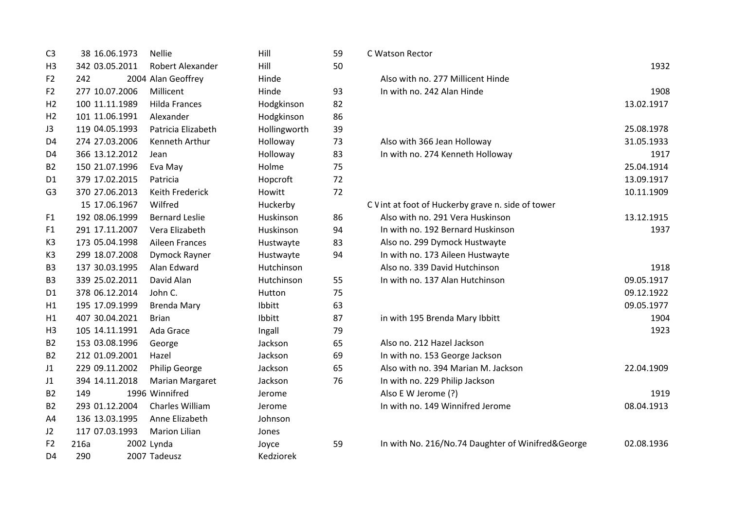| C <sub>3</sub> | 38 16.06.1973  | <b>Nellie</b>         | Hill         | 59 | C Watson Rector                                    |            |
|----------------|----------------|-----------------------|--------------|----|----------------------------------------------------|------------|
| H <sub>3</sub> | 342 03.05.2011 | Robert Alexander      | Hill         | 50 |                                                    | 1932       |
| F <sub>2</sub> | 242            | 2004 Alan Geoffrey    | Hinde        |    | Also with no. 277 Millicent Hinde                  |            |
| F <sub>2</sub> | 277 10.07.2006 | Millicent             | Hinde        | 93 | In with no. 242 Alan Hinde                         | 1908       |
| H <sub>2</sub> | 100 11.11.1989 | <b>Hilda Frances</b>  | Hodgkinson   | 82 |                                                    | 13.02.1917 |
| H <sub>2</sub> | 101 11.06.1991 | Alexander             | Hodgkinson   | 86 |                                                    |            |
| J3             | 119 04.05.1993 | Patricia Elizabeth    | Hollingworth | 39 |                                                    | 25.08.1978 |
| D <sub>4</sub> | 274 27.03.2006 | Kenneth Arthur        | Holloway     | 73 | Also with 366 Jean Holloway                        | 31.05.1933 |
| D4             | 366 13.12.2012 | Jean                  | Holloway     | 83 | In with no. 274 Kenneth Holloway                   | 1917       |
| <b>B2</b>      | 150 21.07.1996 | Eva May               | Holme        | 75 |                                                    | 25.04.1914 |
| D <sub>1</sub> | 379 17.02.2015 | Patricia              | Hopcroft     | 72 |                                                    | 13.09.1917 |
| G <sub>3</sub> | 370 27.06.2013 | Keith Frederick       | Howitt       | 72 |                                                    | 10.11.1909 |
|                | 15 17.06.1967  | Wilfred               | Huckerby     |    | C V int at foot of Huckerby grave n. side of tower |            |
| F1             | 192 08.06.1999 | <b>Bernard Leslie</b> | Huskinson    | 86 | Also with no. 291 Vera Huskinson                   | 13.12.1915 |
| F <sub>1</sub> | 291 17.11.2007 | Vera Elizabeth        | Huskinson    | 94 | In with no. 192 Bernard Huskinson                  | 1937       |
| K <sub>3</sub> | 173 05.04.1998 | <b>Aileen Frances</b> | Hustwayte    | 83 | Also no. 299 Dymock Hustwayte                      |            |
| K <sub>3</sub> | 299 18.07.2008 | Dymock Rayner         | Hustwayte    | 94 | In with no. 173 Aileen Hustwayte                   |            |
| B <sub>3</sub> | 137 30.03.1995 | Alan Edward           | Hutchinson   |    | Also no. 339 David Hutchinson                      | 1918       |
| B <sub>3</sub> | 339 25.02.2011 | David Alan            | Hutchinson   | 55 | In with no. 137 Alan Hutchinson                    | 09.05.1917 |
| D <sub>1</sub> | 378 06.12.2014 | John C.               | Hutton       | 75 |                                                    | 09.12.1922 |
| H1             | 195 17.09.1999 | <b>Brenda Mary</b>    | Ibbitt       | 63 |                                                    | 09.05.1977 |
| H1             | 407 30.04.2021 | <b>Brian</b>          | Ibbitt       | 87 | in with 195 Brenda Mary Ibbitt                     | 1904       |
| H <sub>3</sub> | 105 14.11.1991 | Ada Grace             | Ingall       | 79 |                                                    | 1923       |
| <b>B2</b>      | 153 03.08.1996 | George                | Jackson      | 65 | Also no. 212 Hazel Jackson                         |            |
| B <sub>2</sub> | 212 01.09.2001 | Hazel                 | Jackson      | 69 | In with no. 153 George Jackson                     |            |
| J1             | 229 09.11.2002 | <b>Philip George</b>  | Jackson      | 65 | Also with no. 394 Marian M. Jackson                | 22.04.1909 |
| J1             | 394 14.11.2018 | Marian Margaret       | Jackson      | 76 | In with no. 229 Philip Jackson                     |            |
| <b>B2</b>      | 149            | 1996 Winnifred        | Jerome       |    | Also E W Jerome (?)                                | 1919       |
| <b>B2</b>      | 293 01.12.2004 | Charles William       | Jerome       |    | In with no. 149 Winnifred Jerome                   | 08.04.1913 |
| A4             | 136 13.03.1995 | Anne Elizabeth        | Johnson      |    |                                                    |            |
| J2             | 117 07.03.1993 | <b>Marion Lilian</b>  | Jones        |    |                                                    |            |
| F <sub>2</sub> | 216a           | 2002 Lynda            | Joyce        | 59 | In with No. 216/No.74 Daughter of Winifred&George  | 02.08.1936 |
| D <sub>4</sub> | 290            | 2007 Tadeusz          | Kedziorek    |    |                                                    |            |
|                |                |                       |              |    |                                                    |            |

| C Watson Rector                                    |            |
|----------------------------------------------------|------------|
|                                                    | 1932       |
| Also with no. 277 Millicent Hinde                  |            |
| In with no. 242 Alan Hinde                         | 1908       |
|                                                    | 13.02.1917 |
|                                                    | 25.08.1978 |
| Also with 366 Jean Holloway                        | 31.05.1933 |
| In with no. 274 Kenneth Holloway                   | 1917       |
|                                                    | 25.04.1914 |
|                                                    | 13.09.1917 |
|                                                    | 10.11.1909 |
| C V int at foot of Huckerby grave n. side of tower |            |
| Also with no. 291 Vera Huskinson                   | 13.12.1915 |
| In with no. 192 Bernard Huskinson                  | 1937       |
| Also no. 299 Dymock Hustwayte                      |            |
| In with no. 173 Aileen Hustwayte                   |            |
| Also no. 339 David Hutchinson                      | 1918       |
| In with no. 137 Alan Hutchinson                    | 09.05.1917 |
|                                                    | 09.12.1922 |
|                                                    | 09.05.1977 |
| in with 195 Brenda Mary Ibbitt                     | 1904       |
|                                                    | 1923       |
| Also no. 212 Hazel Jackson                         |            |
| In with no. 153 George Jackson                     |            |
| Also with no. 394 Marian M. Jackson                | 22.04.1909 |
| In with no. 229 Philip Jackson                     |            |
| Also E W Jerome (?)                                | 1919       |
| In with no. 149 Winnifred Jerome                   | 08.04.1913 |
| In with No. 216/No.74 Daughter of Winifred&George  | 02.08.1936 |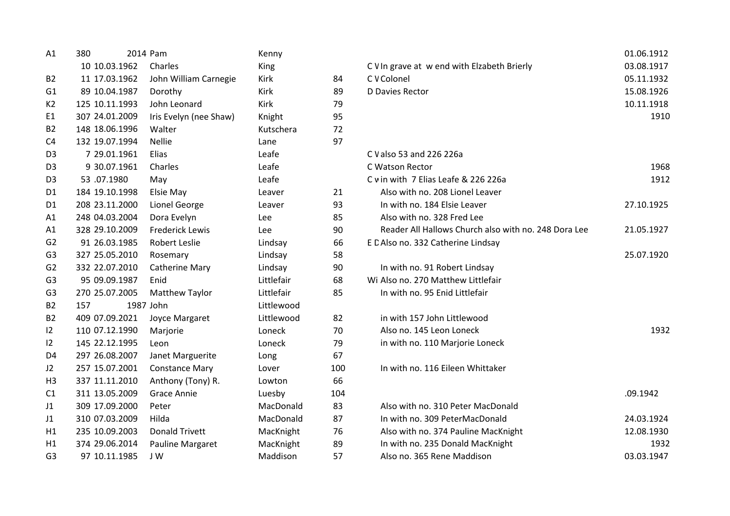| A1             | 380            | 2014 Pam               | Kenny       |     |                                                      | 01.06.19       |
|----------------|----------------|------------------------|-------------|-----|------------------------------------------------------|----------------|
|                | 10 10.03.1962  | Charles                | King        |     | C V In grave at w end with Elzabeth Brierly          | 03.08.19       |
| <b>B2</b>      | 11 17.03.1962  | John William Carnegie  | <b>Kirk</b> | 84  | C V Colonel                                          | 05.11.19       |
| G1             | 89 10.04.1987  | Dorothy                | Kirk        | 89  | D Davies Rector                                      | 15.08.19       |
| K2             | 125 10.11.1993 | John Leonard           | Kirk        | 79  |                                                      | 10.11.19       |
| E1             | 307 24.01.2009 | Iris Evelyn (nee Shaw) | Knight      | 95  |                                                      | 1 <sup>5</sup> |
| <b>B2</b>      | 148 18.06.1996 | Walter                 | Kutschera   | 72  |                                                      |                |
| C4             | 132 19.07.1994 | <b>Nellie</b>          | Lane        | 97  |                                                      |                |
| D <sub>3</sub> | 7 29.01.1961   | Elias                  | Leafe       |     | C V also 53 and 226 226a                             |                |
| D <sub>3</sub> | 9 30.07.1961   | Charles                | Leafe       |     | C Watson Rector                                      | 1 <sup>′</sup> |
| D <sub>3</sub> | 53.07.1980     | May                    | Leafe       |     | C v in with 7 Elias Leafe & 226 226a                 | 1 <sup>5</sup> |
| D1             | 184 19.10.1998 | Elsie May              | Leaver      | 21  | Also with no. 208 Lionel Leaver                      |                |
| D1             | 208 23.11.2000 | Lionel George          | Leaver      | 93  | In with no. 184 Elsie Leaver                         | 27.10.19       |
| A1             | 248 04.03.2004 | Dora Evelyn            | Lee         | 85  | Also with no. 328 Fred Lee                           |                |
| A1             | 328 29.10.2009 | <b>Frederick Lewis</b> | Lee         | 90  | Reader All Hallows Church also with no. 248 Dora Lee | 21.05.19       |
| G <sub>2</sub> | 91 26.03.1985  | <b>Robert Leslie</b>   | Lindsay     | 66  | E C Also no. 332 Catherine Lindsay                   |                |
| G <sub>3</sub> | 327 25.05.2010 | Rosemary               | Lindsay     | 58  |                                                      | 25.07.19       |
| G <sub>2</sub> | 332 22.07.2010 | <b>Catherine Mary</b>  | Lindsay     | 90  | In with no. 91 Robert Lindsay                        |                |
| G <sub>3</sub> | 95 09.09.1987  | Enid                   | Littlefair  | 68  | Wi Also no. 270 Matthew Littlefair                   |                |
| G <sub>3</sub> | 270 25.07.2005 | Matthew Taylor         | Littlefair  | 85  | In with no. 95 Enid Littlefair                       |                |
| <b>B2</b>      | 157            | 1987 John              | Littlewood  |     |                                                      |                |
| B <sub>2</sub> | 409 07.09.2021 | Joyce Margaret         | Littlewood  | 82  | in with 157 John Littlewood                          |                |
| $ 2\rangle$    | 110 07.12.1990 | Marjorie               | Loneck      | 70  | Also no. 145 Leon Loneck                             | 1 <sup>0</sup> |
| 12             | 145 22.12.1995 | Leon                   | Loneck      | 79  | in with no. 110 Marjorie Loneck                      |                |
| D <sub>4</sub> | 297 26.08.2007 | Janet Marguerite       | Long        | 67  |                                                      |                |
| J2             | 257 15.07.2001 | <b>Constance Mary</b>  | Lover       | 100 | In with no. 116 Eileen Whittaker                     |                |
| H <sub>3</sub> | 337 11.11.2010 | Anthony (Tony) R.      | Lowton      | 66  |                                                      |                |
| C1             | 311 13.05.2009 | <b>Grace Annie</b>     | Luesby      | 104 |                                                      | .09.1942       |
| J1             | 309 17.09.2000 | Peter                  | MacDonald   | 83  | Also with no. 310 Peter MacDonald                    |                |
| J1             | 310 07.03.2009 | Hilda                  | MacDonald   | 87  | In with no. 309 PeterMacDonald                       | 24.03.19       |
| H1             | 235 10.09.2003 | <b>Donald Trivett</b>  | MacKnight   | 76  | Also with no. 374 Pauline MacKnight                  | 12.08.19       |
| H1             | 374 29.06.2014 | Pauline Margaret       | MacKnight   | 89  | In with no. 235 Donald MacKnight                     | 1 <sup>5</sup> |
| G <sub>3</sub> | 97 10.11.1985  | J W                    | Maddison    | 57  | Also no. 365 Rene Maddison                           | 03.03.19       |

| A1             | 380            | 2014 Pam               | Kenny       |     |                                                      | 01.06.1912 |
|----------------|----------------|------------------------|-------------|-----|------------------------------------------------------|------------|
|                | 10 10.03.1962  | Charles                | King        |     | C V In grave at w end with Elzabeth Brierly          | 03.08.1917 |
| B2             | 11 17.03.1962  | John William Carnegie  | Kirk        | 84  | C V Colonel                                          | 05.11.1932 |
| G1             | 89 10.04.1987  | Dorothy                | Kirk        | 89  | D Davies Rector                                      | 15.08.1926 |
| К2             | 125 10.11.1993 | John Leonard           | <b>Kirk</b> | 79  |                                                      | 10.11.1918 |
| E1             | 307 24.01.2009 | Iris Evelyn (nee Shaw) | Knight      | 95  |                                                      | 1910       |
| B2             | 148 18.06.1996 | Walter                 | Kutschera   | 72  |                                                      |            |
| C4             | 132 19.07.1994 | <b>Nellie</b>          | Lane        | 97  |                                                      |            |
| D3             | 7 29.01.1961   | Elias                  | Leafe       |     | C V also 53 and 226 226a                             |            |
| D3             | 9 30.07.1961   | Charles                | Leafe       |     | C Watson Rector                                      | 1968       |
| D3             | 53.07.1980     | May                    | Leafe       |     | C v in with 7 Elias Leafe & 226 226a                 | 1912       |
| D1             | 184 19.10.1998 | Elsie May              | Leaver      | 21  | Also with no. 208 Lionel Leaver                      |            |
| D1             | 208 23.11.2000 | <b>Lionel George</b>   | Leaver      | 93  | In with no. 184 Elsie Leaver                         | 27.10.1925 |
| Α1             | 248 04.03.2004 | Dora Evelyn            | Lee         | 85  | Also with no. 328 Fred Lee                           |            |
| A1             | 328 29.10.2009 | <b>Frederick Lewis</b> | Lee         | 90  | Reader All Hallows Church also with no. 248 Dora Lee | 21.05.1927 |
| G2             | 91 26.03.1985  | <b>Robert Leslie</b>   | Lindsay     | 66  | E C Also no. 332 Catherine Lindsay                   |            |
| G3             | 327 25.05.2010 | Rosemary               | Lindsay     | 58  |                                                      | 25.07.1920 |
| G2             | 332 22.07.2010 | <b>Catherine Mary</b>  | Lindsay     | 90  | In with no. 91 Robert Lindsay                        |            |
| G3             | 95 09.09.1987  | Enid                   | Littlefair  | 68  | Wi Also no. 270 Matthew Littlefair                   |            |
| G3             | 270 25.07.2005 | <b>Matthew Taylor</b>  | Littlefair  | 85  | In with no. 95 Enid Littlefair                       |            |
| B2             | 157            | 1987 John              | Littlewood  |     |                                                      |            |
| B2             | 409 07.09.2021 | Joyce Margaret         | Littlewood  | 82  | in with 157 John Littlewood                          |            |
| $\overline{2}$ | 110 07.12.1990 | Marjorie               | Loneck      | 70  | Also no. 145 Leon Loneck                             | 1932       |
| $\overline{2}$ | 145 22.12.1995 | Leon                   | Loneck      | 79  | in with no. 110 Marjorie Loneck                      |            |
| D4             | 297 26.08.2007 | Janet Marguerite       | Long        | 67  |                                                      |            |
| J2             | 257 15.07.2001 | <b>Constance Mary</b>  | Lover       | 100 | In with no. 116 Eileen Whittaker                     |            |
| H3             | 337 11.11.2010 | Anthony (Tony) R.      | Lowton      | 66  |                                                      |            |
| C1             | 311 13.05.2009 | Grace Annie            | Luesby      | 104 |                                                      | .09.1942   |
| J1             | 309 17.09.2000 | Peter                  | MacDonald   | 83  | Also with no. 310 Peter MacDonald                    |            |
| 11             | 310 07.03.2009 | Hilda                  | MacDonald   | 87  | In with no. 309 PeterMacDonald                       | 24.03.1924 |
| Н1             | 235 10.09.2003 | <b>Donald Trivett</b>  | MacKnight   | 76  | Also with no. 374 Pauline MacKnight                  | 12.08.1930 |
| H1             | 374 29.06.2014 | Pauline Margaret       | MacKnight   | 89  | In with no. 235 Donald MacKnight                     | 1932       |
| G3             | 97 10.11.1985  | J W                    | Maddison    | 57  | Also no. 365 Rene Maddison                           | 03.03.1947 |
|                |                |                        |             |     |                                                      |            |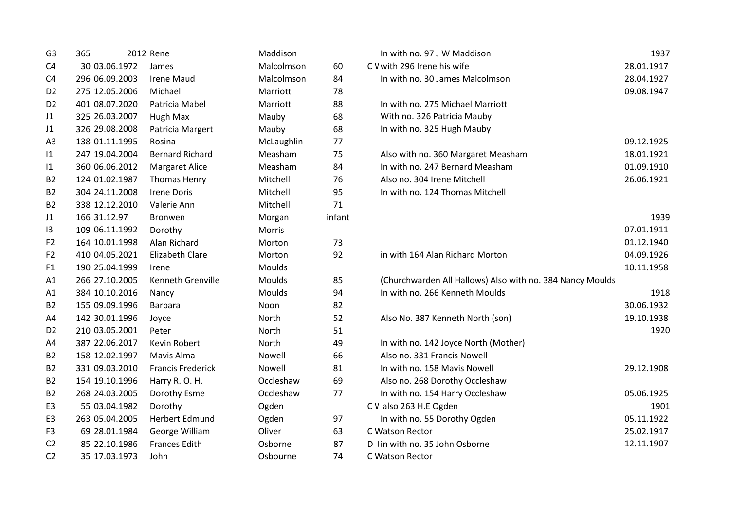| G <sub>3</sub> | 365            | 2012 Rene                | Maddison   |        | In with no. 97 J W Maddison                               | 1937       |
|----------------|----------------|--------------------------|------------|--------|-----------------------------------------------------------|------------|
| C <sub>4</sub> | 30 03.06.1972  | James                    | Malcolmson | 60     | C V with 296 Irene his wife                               | 28.01.1917 |
| C <sub>4</sub> | 296 06.09.2003 | <b>Irene Maud</b>        | Malcolmson | 84     | In with no. 30 James Malcolmson                           | 28.04.1927 |
| D <sub>2</sub> | 275 12.05.2006 | Michael                  | Marriott   | 78     |                                                           | 09.08.1947 |
| D <sub>2</sub> | 401 08.07.2020 | Patricia Mabel           | Marriott   | 88     | In with no. 275 Michael Marriott                          |            |
| J1             | 325 26.03.2007 | Hugh Max                 | Mauby      | 68     | With no. 326 Patricia Mauby                               |            |
| J1             | 326 29.08.2008 | Patricia Margert         | Mauby      | 68     | In with no. 325 Hugh Mauby                                |            |
| A <sub>3</sub> | 138 01.11.1995 | Rosina                   | McLaughlin | 77     |                                                           | 09.12.1925 |
| 1              | 247 19.04.2004 | <b>Bernard Richard</b>   | Measham    | 75     | Also with no. 360 Margaret Measham                        | 18.01.1921 |
| 1              | 360 06.06.2012 | <b>Margaret Alice</b>    | Measham    | 84     | In with no. 247 Bernard Measham                           | 01.09.1910 |
| <b>B2</b>      | 124 01.02.1987 | <b>Thomas Henry</b>      | Mitchell   | 76     | Also no. 304 Irene Mitchell                               | 26.06.1921 |
| <b>B2</b>      | 304 24.11.2008 | <b>Irene Doris</b>       | Mitchell   | 95     | In with no. 124 Thomas Mitchell                           |            |
| <b>B2</b>      | 338 12.12.2010 | Valerie Ann              | Mitchell   | 71     |                                                           |            |
| J1             | 166 31.12.97   | <b>Bronwen</b>           | Morgan     | infant |                                                           | 1939       |
| 13             | 109 06.11.1992 | Dorothy                  | Morris     |        |                                                           | 07.01.1911 |
| F <sub>2</sub> | 164 10.01.1998 | Alan Richard             | Morton     | 73     |                                                           | 01.12.1940 |
| F <sub>2</sub> | 410 04.05.2021 | <b>Elizabeth Clare</b>   | Morton     | 92     | in with 164 Alan Richard Morton                           | 04.09.1926 |
| F <sub>1</sub> | 190 25.04.1999 | Irene                    | Moulds     |        |                                                           | 10.11.1958 |
| A1             | 266 27.10.2005 | Kenneth Grenville        | Moulds     | 85     | (Churchwarden All Hallows) Also with no. 384 Nancy Moulds |            |
| A1             | 384 10.10.2016 | Nancy                    | Moulds     | 94     | In with no. 266 Kenneth Moulds                            | 1918       |
| <b>B2</b>      | 155 09.09.1996 | Barbara                  | Noon       | 82     |                                                           | 30.06.1932 |
| A4             | 142 30.01.1996 | Joyce                    | North      | 52     | Also No. 387 Kenneth North (son)                          | 19.10.1938 |
| D <sub>2</sub> | 210 03.05.2001 | Peter                    | North      | 51     |                                                           | 1920       |
| A4             | 387 22.06.2017 | Kevin Robert             | North      | 49     | In with no. 142 Joyce North (Mother)                      |            |
| <b>B2</b>      | 158 12.02.1997 | Mavis Alma               | Nowell     | 66     | Also no. 331 Francis Nowell                               |            |
| <b>B2</b>      | 331 09.03.2010 | <b>Francis Frederick</b> | Nowell     | 81     | In with no. 158 Mavis Nowell                              | 29.12.1908 |
| <b>B2</b>      | 154 19.10.1996 | Harry R.O.H.             | Occleshaw  | 69     | Also no. 268 Dorothy Occleshaw                            |            |
| <b>B2</b>      | 268 24.03.2005 | Dorothy Esme             | Occleshaw  | 77     | In with no. 154 Harry Occleshaw                           | 05.06.1925 |
| E <sub>3</sub> | 55 03.04.1982  | Dorothy                  | Ogden      |        | C V also 263 H.E Ogden                                    | 1901       |
| E <sub>3</sub> | 263 05.04.2005 | <b>Herbert Edmund</b>    | Ogden      | 97     | In with no. 55 Dorothy Ogden                              | 05.11.1922 |
| F <sub>3</sub> | 69 28.01.1984  | George William           | Oliver     | 63     | C Watson Rector                                           | 25.02.1917 |
| C <sub>2</sub> | 85 22.10.1986  | <b>Frances Edith</b>     | Osborne    | 87     | D In with no. 35 John Osborne                             | 12.11.1907 |
| C <sub>2</sub> | 35 17.03.1973  | John                     | Osbourne   | 74     | C Watson Rector                                           |            |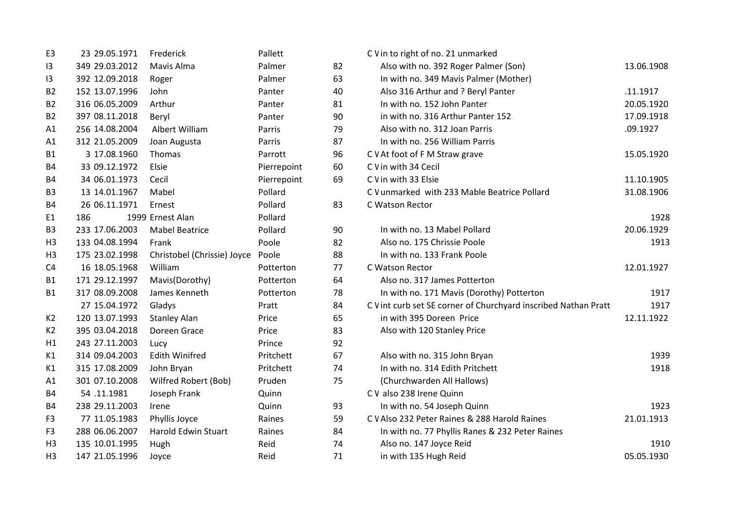| E <sub>3</sub> | 23 29.05.1971  | Frederick                   | Pallett     |    | C V in to right of no. 21 unmarked                              |            |
|----------------|----------------|-----------------------------|-------------|----|-----------------------------------------------------------------|------------|
| 3              | 349 29.03.2012 | Mavis Alma                  | Palmer      | 82 | Also with no. 392 Roger Palmer (Son)                            | 13.06.1908 |
| 13             | 392 12.09.2018 | Roger                       | Palmer      | 63 | In with no. 349 Mavis Palmer (Mother)                           |            |
| <b>B2</b>      | 152 13.07.1996 | John                        | Panter      | 40 | Also 316 Arthur and ? Beryl Panter                              | .11.1917   |
| <b>B2</b>      | 316 06.05.2009 | Arthur                      | Panter      | 81 | In with no. 152 John Panter                                     | 20.05.1920 |
| <b>B2</b>      | 397 08.11.2018 | Beryl                       | Panter      | 90 | in with no. 316 Arthur Panter 152                               | 17.09.1918 |
| A1             | 256 14.08.2004 | Albert William              | Parris      | 79 | Also with no. 312 Joan Parris                                   | .09.1927   |
| A1             | 312 21.05.2009 | Joan Augusta                | Parris      | 87 | In with no. 256 William Parris                                  |            |
| <b>B1</b>      | 3 17.08.1960   | Thomas                      | Parrott     | 96 | C V At foot of F M Straw grave                                  | 15.05.1920 |
| <b>B4</b>      | 33 09.12.1972  | Elsie                       | Pierrepoint | 60 | C V in with 34 Cecil                                            |            |
| <b>B4</b>      | 34 06.01.1973  | Cecil                       | Pierrepoint | 69 | C V in with 33 Elsie                                            | 11.10.1905 |
| B <sub>3</sub> | 13 14.01.1967  | Mabel                       | Pollard     |    | C V unmarked with 233 Mable Beatrice Pollard                    | 31.08.1906 |
| <b>B4</b>      | 26 06.11.1971  | Ernest                      | Pollard     | 83 | C Watson Rector                                                 |            |
| E <sub>1</sub> | 186            | 1999 Ernest Alan            | Pollard     |    |                                                                 | 1928       |
| B <sub>3</sub> | 233 17.06.2003 | <b>Mabel Beatrice</b>       | Pollard     | 90 | In with no. 13 Mabel Pollard                                    | 20.06.1929 |
| H <sub>3</sub> | 133 04.08.1994 | Frank                       | Poole       | 82 | Also no. 175 Chrissie Poole                                     | 1913       |
| H <sub>3</sub> | 175 23.02.1998 | Christobel (Chrissie) Joyce | Poole       | 88 | In with no. 133 Frank Poole                                     |            |
| C <sub>4</sub> | 16 18.05.1968  | William                     | Potterton   | 77 | C Watson Rector                                                 | 12.01.1927 |
| <b>B1</b>      | 171 29.12.1997 | Mavis(Dorothy)              | Potterton   | 64 | Also no. 317 James Potterton                                    |            |
| B1             | 317 08.09.2008 | James Kenneth               | Potterton   | 78 | In with no. 171 Mavis (Dorothy) Potterton                       | 1917       |
|                | 27 15.04.1972  | Gladys                      | Pratt       | 84 | C V int curb set SE corner of Churchyard inscribed Nathan Pratt | 1917       |
| K <sub>2</sub> | 120 13.07.1993 | <b>Stanley Alan</b>         | Price       | 65 | in with 395 Doreen Price                                        | 12.11.1922 |
| K2             | 395 03.04.2018 | Doreen Grace                | Price       | 83 | Also with 120 Stanley Price                                     |            |
| H1             | 243 27.11.2003 | Lucy                        | Prince      | 92 |                                                                 |            |
| K1             | 314 09.04.2003 | <b>Edith Winifred</b>       | Pritchett   | 67 | Also with no. 315 John Bryan                                    | 1939       |
| K1             | 315 17.08.2009 | John Bryan                  | Pritchett   | 74 | In with no. 314 Edith Pritchett                                 | 1918       |
| A1             | 301 07.10.2008 | Wilfred Robert (Bob)        | Pruden      | 75 | (Churchwarden All Hallows)                                      |            |
| <b>B4</b>      | 54.11.1981     | Joseph Frank                | Quinn       |    | C V also 238 Irene Quinn                                        |            |
| B4             | 238 29.11.2003 | Irene                       | Quinn       | 93 | In with no. 54 Joseph Quinn                                     | 1923       |
| F <sub>3</sub> | 77 11.05.1983  | Phyllis Joyce               | Raines      | 59 | C V Also 232 Peter Raines & 288 Harold Raines                   | 21.01.1913 |
| F <sub>3</sub> | 288 06.06.2007 | <b>Harold Edwin Stuart</b>  | Raines      | 84 | In with no. 77 Phyllis Ranes & 232 Peter Raines                 |            |
| H <sub>3</sub> | 135 10.01.1995 | Hugh                        | Reid        | 74 | Also no. 147 Joyce Reid                                         | 1910       |
| H <sub>3</sub> | 147 21.05.1996 | Joyce                       | Reid        | 71 | in with 135 Hugh Reid                                           | 05.05.1930 |
|                |                |                             |             |    |                                                                 |            |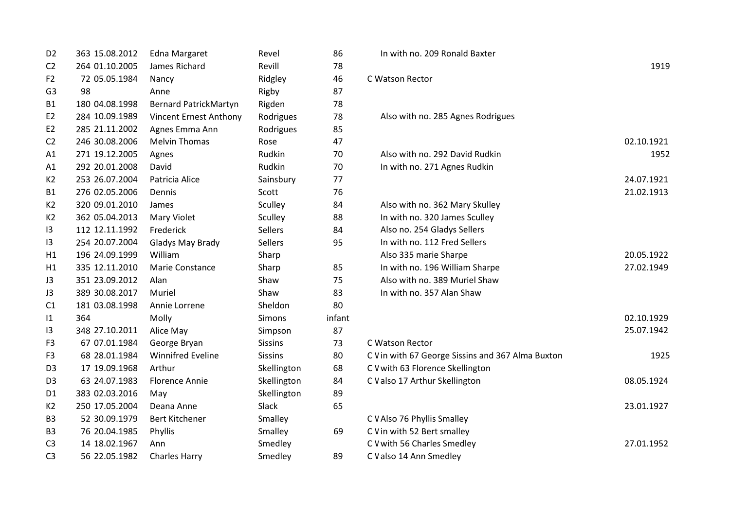| D <sub>2</sub> | 363 15.08.2012 | <b>Edna Margaret</b>         | Revel          | 86     | In with no. 209 Ronald Baxter         |
|----------------|----------------|------------------------------|----------------|--------|---------------------------------------|
| C <sub>2</sub> | 264 01.10.2005 | James Richard                | Revill         | 78     |                                       |
| F <sub>2</sub> | 72 05.05.1984  | Nancy                        | Ridgley        | 46     | C Watson Rector                       |
| G <sub>3</sub> | 98             | Anne                         | Rigby          | 87     |                                       |
| <b>B1</b>      | 180 04.08.1998 | <b>Bernard PatrickMartyn</b> | Rigden         | 78     |                                       |
| E2             | 284 10.09.1989 | Vincent Ernest Anthony       | Rodrigues      | 78     | Also with no. 285 Agnes Rodrigues     |
| E2             | 285 21.11.2002 | Agnes Emma Ann               | Rodrigues      | 85     |                                       |
| C <sub>2</sub> | 246 30.08.2006 | <b>Melvin Thomas</b>         | Rose           | 47     |                                       |
| A1             | 271 19.12.2005 | Agnes                        | Rudkin         | 70     | Also with no. 292 David Rudkin        |
| A1             | 292 20.01.2008 | David                        | Rudkin         | 70     | In with no. 271 Agnes Rudkin          |
| K2             | 253 26.07.2004 | Patricia Alice               | Sainsbury      | 77     |                                       |
| B1             | 276 02.05.2006 | Dennis                       | Scott          | 76     |                                       |
| K <sub>2</sub> | 320 09.01.2010 | James                        | Sculley        | 84     | Also with no. 362 Mary Skulley        |
| K2             | 362 05.04.2013 | Mary Violet                  | Sculley        | 88     | In with no. 320 James Sculley         |
| 13             | 112 12.11.1992 | Frederick                    | <b>Sellers</b> | 84     | Also no. 254 Gladys Sellers           |
| 13             | 254 20.07.2004 | Gladys May Brady             | <b>Sellers</b> | 95     | In with no. 112 Fred Sellers          |
| H1             | 196 24.09.1999 | William                      | Sharp          |        | Also 335 marie Sharpe                 |
| H1             | 335 12.11.2010 | Marie Constance              | Sharp          | 85     | In with no. 196 William Sharpe        |
| J3             | 351 23.09.2012 | Alan                         | Shaw           | 75     | Also with no. 389 Muriel Shaw         |
| J3             | 389 30.08.2017 | Muriel                       | Shaw           | 83     | In with no. 357 Alan Shaw             |
| C1             | 181 03.08.1998 | Annie Lorrene                | Sheldon        | 80     |                                       |
| 1              | 364            | Molly                        | Simons         | infant |                                       |
| 13             | 348 27.10.2011 | Alice May                    | Simpson        | 87     |                                       |
| F <sub>3</sub> | 67 07.01.1984  | George Bryan                 | <b>Sissins</b> | 73     | C Watson Rector                       |
| F <sub>3</sub> | 68 28.01.1984  | <b>Winnifred Eveline</b>     | <b>Sissins</b> | 80     | C V in with 67 George Sissins and 367 |
| D <sub>3</sub> | 17 19.09.1968  | Arthur                       | Skellington    | 68     | C V with 63 Florence Skellington      |
| D <sub>3</sub> | 63 24.07.1983  | <b>Florence Annie</b>        | Skellington    | 84     | C V also 17 Arthur Skellington        |
| D <sub>1</sub> | 383 02.03.2016 | May                          | Skellington    | 89     |                                       |
| K2             | 250 17.05.2004 | Deana Anne                   | <b>Slack</b>   | 65     |                                       |
| B <sub>3</sub> | 52 30.09.1979  | <b>Bert Kitchener</b>        | Smalley        |        | C V Also 76 Phyllis Smalley           |
| B <sub>3</sub> | 76 20.04.1985  | Phyllis                      | Smalley        | 69     | C V in with 52 Bert smalley           |
| C <sub>3</sub> | 14 18.02.1967  | Ann                          | Smedley        |        | C V with 56 Charles Smedley           |
| C <sub>3</sub> | 56 22.05.1982  | <b>Charles Harry</b>         | Smedley        | 89     | C V also 14 Ann Smedley               |
|                |                |                              |                |        |                                       |

| D <sub>2</sub> | 363 15.08.2012 | Edna Margaret                 | Revel          | 86     | In with no. 209 Ronald Baxter                     |            |
|----------------|----------------|-------------------------------|----------------|--------|---------------------------------------------------|------------|
| C <sub>2</sub> | 264 01.10.2005 | James Richard                 | Revill         | 78     |                                                   | 1919       |
| F <sub>2</sub> | 72 05.05.1984  | Nancy                         | Ridgley        | 46     | C Watson Rector                                   |            |
| G3             | 98             | Anne                          | Rigby          | 87     |                                                   |            |
| B1             | 180 04.08.1998 | <b>Bernard PatrickMartyn</b>  | Rigden         | 78     |                                                   |            |
| E2             | 284 10.09.1989 | <b>Vincent Ernest Anthony</b> | Rodrigues      | 78     | Also with no. 285 Agnes Rodrigues                 |            |
| E2             | 285 21.11.2002 | Agnes Emma Ann                | Rodrigues      | 85     |                                                   |            |
| C <sub>2</sub> | 246 30.08.2006 | <b>Melvin Thomas</b>          | Rose           | 47     |                                                   | 02.10.1921 |
| Α1             | 271 19.12.2005 | Agnes                         | Rudkin         | 70     | Also with no. 292 David Rudkin                    | 1952       |
| Α1             | 292 20.01.2008 | David                         | Rudkin         | 70     | In with no. 271 Agnes Rudkin                      |            |
| K2             | 253 26.07.2004 | Patricia Alice                | Sainsbury      | 77     |                                                   | 24.07.1921 |
| B1             | 276 02.05.2006 | Dennis                        | Scott          | 76     |                                                   | 21.02.1913 |
| К2             | 320 09.01.2010 | James                         | Sculley        | 84     | Also with no. 362 Mary Skulley                    |            |
| K2             | 362 05.04.2013 | <b>Mary Violet</b>            | Sculley        | 88     | In with no. 320 James Sculley                     |            |
| 13             | 112 12.11.1992 | Frederick                     | Sellers        | 84     | Also no. 254 Gladys Sellers                       |            |
| 13             | 254 20.07.2004 | Gladys May Brady              | Sellers        | 95     | In with no. 112 Fred Sellers                      |            |
| Η1             | 196 24.09.1999 | William                       | Sharp          |        | Also 335 marie Sharpe                             | 20.05.1922 |
| H1             | 335 12.11.2010 | Marie Constance               | Sharp          | 85     | In with no. 196 William Sharpe                    | 27.02.1949 |
| JЗ             | 351 23.09.2012 | Alan                          | Shaw           | 75     | Also with no. 389 Muriel Shaw                     |            |
| JЗ             | 389 30.08.2017 | Muriel                        | Shaw           | 83     | In with no. 357 Alan Shaw                         |            |
| C1             | 181 03.08.1998 | Annie Lorrene                 | Sheldon        | 80     |                                                   |            |
| 11             | 364            | Molly                         | Simons         | infant |                                                   | 02.10.1929 |
| 13             | 348 27.10.2011 | Alice May                     | Simpson        | 87     |                                                   | 25.07.1942 |
| F3             | 67 07.01.1984  | George Bryan                  | <b>Sissins</b> | 73     | C Watson Rector                                   |            |
| F3             | 68 28.01.1984  | <b>Winnifred Eveline</b>      | <b>Sissins</b> | 80     | C V in with 67 George Sissins and 367 Alma Buxton | 1925       |
| D3             | 17 19.09.1968  | Arthur                        | Skellington    | 68     | C V with 63 Florence Skellington                  |            |
| D3             | 63 24.07.1983  | <b>Florence Annie</b>         | Skellington    | 84     | C V also 17 Arthur Skellington                    | 08.05.1924 |
| D1             | 383 02.03.2016 | May                           | Skellington    | 89     |                                                   |            |
| К2             | 250 17.05.2004 | Deana Anne                    | Slack          | 65     |                                                   | 23.01.1927 |
| B3             | 52 30.09.1979  | <b>Bert Kitchener</b>         | Smalley        |        | C V Also 76 Phyllis Smalley                       |            |
| B3             | 76 20.04.1985  | Phyllis                       | Smalley        | 69     | C V in with 52 Bert smalley                       |            |
| C3             | 14 18.02.1967  | Ann                           | Smedley        |        | C V with 56 Charles Smedley                       | 27.01.1952 |
| C3             | 56 22.05.1982  | <b>Charles Harry</b>          | Smedley        | 89     | C V also 14 Ann Smedley                           |            |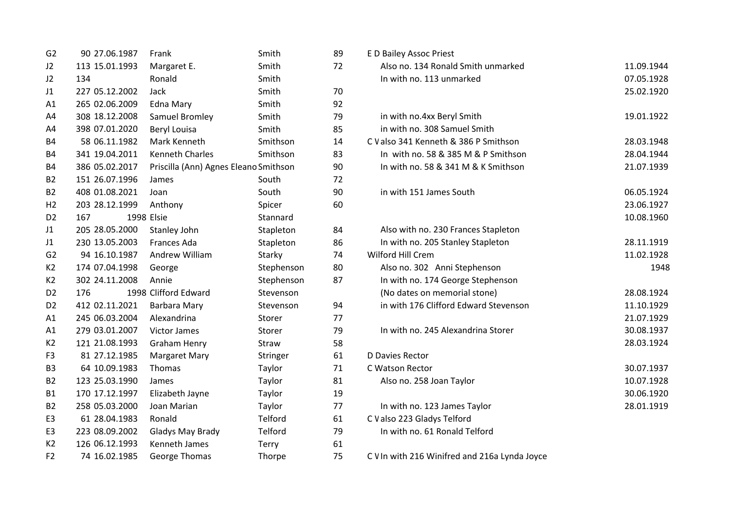| G <sub>2</sub> | 90 27.06.1987  | Frank                                 | Smith      | 89 | <b>ED Bailey Assoc Priest</b>          |
|----------------|----------------|---------------------------------------|------------|----|----------------------------------------|
| J2             | 113 15.01.1993 | Margaret E.                           | Smith      | 72 | Also no. 134 Ronald Smith unmarke      |
| J2             | 134            | Ronald                                | Smith      |    | In with no. 113 unmarked               |
| J1             | 227 05.12.2002 | Jack                                  | Smith      | 70 |                                        |
| A1             | 265 02.06.2009 | Edna Mary                             | Smith      | 92 |                                        |
| A4             | 308 18.12.2008 | Samuel Bromley                        | Smith      | 79 | in with no.4xx Beryl Smith             |
| A4             | 398 07.01.2020 | Beryl Louisa                          | Smith      | 85 | in with no. 308 Samuel Smith           |
| <b>B4</b>      | 58 06.11.1982  | Mark Kenneth                          | Smithson   | 14 | C V also 341 Kenneth & 386 P Smithson  |
| <b>B4</b>      | 341 19.04.2011 | <b>Kenneth Charles</b>                | Smithson   | 83 | In with no. 58 & 385 M & P Smithso     |
| <b>B4</b>      | 386 05.02.2017 | Priscilla (Ann) Agnes Eleano Smithson |            | 90 | In with no. 58 & 341 M & K Smithso     |
| <b>B2</b>      | 151 26.07.1996 | James                                 | South      | 72 |                                        |
| <b>B2</b>      | 408 01.08.2021 | Joan                                  | South      | 90 | in with 151 James South                |
| H <sub>2</sub> | 203 28.12.1999 | Anthony                               | Spicer     | 60 |                                        |
| D <sub>2</sub> | 167            | 1998 Elsie                            | Stannard   |    |                                        |
| J1             | 205 28.05.2000 | Stanley John                          | Stapleton  | 84 | Also with no. 230 Frances Stapleton    |
| J1             | 230 13.05.2003 | Frances Ada                           | Stapleton  | 86 | In with no. 205 Stanley Stapleton      |
| G <sub>2</sub> | 94 16.10.1987  | Andrew William                        | Starky     | 74 | Wilford Hill Crem                      |
| K2             | 174 07.04.1998 | George                                | Stephenson | 80 | Also no. 302 Anni Stephenson           |
| K2             | 302 24.11.2008 | Annie                                 | Stephenson | 87 | In with no. 174 George Stephenson      |
| D <sub>2</sub> | 176            | 1998 Clifford Edward                  | Stevenson  |    | (No dates on memorial stone)           |
| D <sub>2</sub> | 412 02.11.2021 | Barbara Mary                          | Stevenson  | 94 | in with 176 Clifford Edward Stevens    |
| A1             | 245 06.03.2004 | Alexandrina                           | Storer     | 77 |                                        |
| A1             | 279 03.01.2007 | <b>Victor James</b>                   | Storer     | 79 | In with no. 245 Alexandrina Storer     |
| K2             | 121 21.08.1993 | <b>Graham Henry</b>                   | Straw      | 58 |                                        |
| F <sub>3</sub> | 81 27.12.1985  | <b>Margaret Mary</b>                  | Stringer   | 61 | D Davies Rector                        |
| B <sub>3</sub> | 64 10.09.1983  | Thomas                                | Taylor     | 71 | C Watson Rector                        |
| <b>B2</b>      | 123 25.03.1990 | James                                 | Taylor     | 81 | Also no. 258 Joan Taylor               |
| <b>B1</b>      | 170 17.12.1997 | Elizabeth Jayne                       | Taylor     | 19 |                                        |
| <b>B2</b>      | 258 05.03.2000 | Joan Marian                           | Taylor     | 77 | In with no. 123 James Taylor           |
| E <sub>3</sub> | 61 28.04.1983  | Ronald                                | Telford    | 61 | C V also 223 Gladys Telford            |
| E <sub>3</sub> | 223 08.09.2002 | <b>Gladys May Brady</b>               | Telford    | 79 | In with no. 61 Ronald Telford          |
| K2             | 126 06.12.1993 | <b>Kenneth James</b>                  | Terry      | 61 |                                        |
| F <sub>2</sub> | 74 16.02.1985  | George Thomas                         | Thorpe     | 75 | C V In with 216 Winifred and 216a Lynd |
|                |                |                                       |            |    |                                        |

| G <sub>2</sub> | 90 27.06.1987  | Frank                                 | Smith        | 89 | E D Bailey Assoc Priest               |            |
|----------------|----------------|---------------------------------------|--------------|----|---------------------------------------|------------|
| J2             | 113 15.01.1993 | Margaret E.                           | Smith        | 72 | Also no. 134 Ronald Smith unmarked    | 11.09.1944 |
| J2             | 134            | Ronald                                | Smith        |    | In with no. 113 unmarked              | 07.05.1928 |
| J1             | 227 05.12.2002 | Jack                                  | Smith        | 70 |                                       | 25.02.1920 |
| A1             | 265 02.06.2009 | <b>Edna Mary</b>                      | Smith        | 92 |                                       |            |
| A4             | 308 18.12.2008 | Samuel Bromley                        | Smith        | 79 | in with no.4xx Beryl Smith            | 19.01.1922 |
| A4             | 398 07.01.2020 | Beryl Louisa                          | Smith        | 85 | in with no. 308 Samuel Smith          |            |
| Β4             | 58 06.11.1982  | Mark Kenneth                          | Smithson     | 14 | C V also 341 Kenneth & 386 P Smithson | 28.03.1948 |
| Β4             | 341 19.04.2011 | <b>Kenneth Charles</b>                | Smithson     | 83 | In with no. 58 & 385 M & P Smithson   | 28.04.1944 |
| Β4             | 386 05.02.2017 | Priscilla (Ann) Agnes Eleano Smithson |              | 90 | In with no. 58 & 341 M & K Smithson   | 21.07.1939 |
| B2             | 151 26.07.1996 | James                                 | South        | 72 |                                       |            |
| <b>B2</b>      | 408 01.08.2021 | Joan                                  | South        | 90 | in with 151 James South               | 06.05.1924 |
| H2             | 203 28.12.1999 | Anthony                               | Spicer       | 60 |                                       | 23.06.1927 |
| D2             | 167            | 1998 Elsie                            | Stannard     |    |                                       | 10.08.1960 |
| J1             | 205 28.05.2000 | Stanley John                          | Stapleton    | 84 | Also with no. 230 Frances Stapleton   |            |
| J1             | 230 13.05.2003 | Frances Ada                           | Stapleton    | 86 | In with no. 205 Stanley Stapleton     | 28.11.1919 |
| G2             | 94 16.10.1987  | Andrew William                        | Starky       | 74 | Wilford Hill Crem                     | 11.02.1928 |
| K2             | 174 07.04.1998 | George                                | Stephenson   | 80 | Also no. 302 Anni Stephenson          | 1948       |
| K2             | 302 24.11.2008 | Annie                                 | Stephenson   | 87 | In with no. 174 George Stephenson     |            |
| D2             | 176            | 1998 Clifford Edward                  | Stevenson    |    | (No dates on memorial stone)          | 28.08.1924 |
| D2             | 412 02.11.2021 | Barbara Mary                          | Stevenson    | 94 | in with 176 Clifford Edward Stevenson | 11.10.1929 |
| Α1             | 245 06.03.2004 | Alexandrina                           | Storer       | 77 |                                       | 21.07.1929 |
| A1             | 279 03.01.2007 | Victor James                          | Storer       | 79 | In with no. 245 Alexandrina Storer    | 30.08.1937 |
| K2             | 121 21.08.1993 | <b>Graham Henry</b>                   | Straw        | 58 |                                       | 28.03.1924 |
| F3             | 81 27.12.1985  | <b>Margaret Mary</b>                  | Stringer     | 61 | D Davies Rector                       |            |
| B3             | 64 10.09.1983  | Thomas                                | Taylor       | 71 | C Watson Rector                       | 30.07.1937 |
| B2             | 123 25.03.1990 | James                                 | Taylor       | 81 | Also no. 258 Joan Taylor              | 10.07.1928 |
| B1             | 170 17.12.1997 | Elizabeth Jayne                       | Taylor       | 19 |                                       | 30.06.1920 |
| B2             | 258 05.03.2000 | Joan Marian                           | Taylor       | 77 | In with no. 123 James Taylor          | 28.01.1919 |
| E3             | 61 28.04.1983  | Ronald                                | Telford      | 61 | C V also 223 Gladys Telford           |            |
| E3             | 223 08.09.2002 | Gladys May Brady                      | Telford      | 79 | In with no. 61 Ronald Telford         |            |
| K2             | 126 06.12.1993 | Kenneth James                         | <b>Terry</b> | 61 |                                       |            |

C V In with 216 Winifred and 216a Lynda Joyce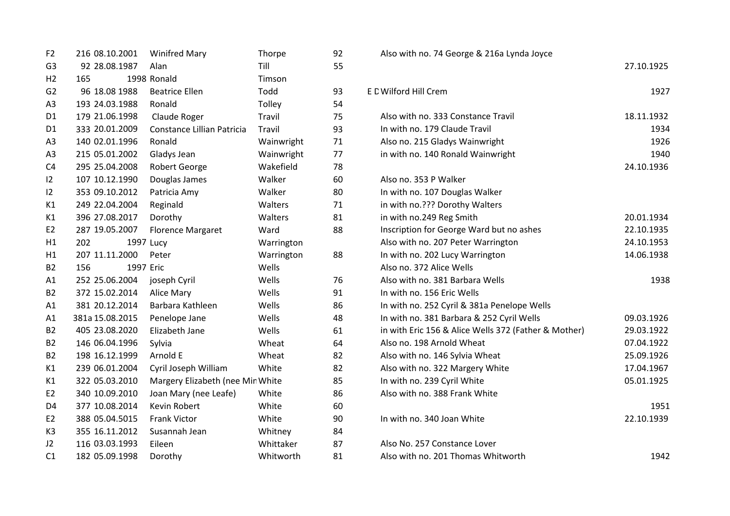| F <sub>2</sub> | 216 08.10.2001  | <b>Winifred Mary</b>             | Thorpe     | 92 | Also with no. 74 George & 216a Lynda Joyce           |            |
|----------------|-----------------|----------------------------------|------------|----|------------------------------------------------------|------------|
| G <sub>3</sub> | 92 28.08.1987   | Alan                             | Till       | 55 |                                                      | 27.10.1925 |
| H <sub>2</sub> | 165             | 1998 Ronald                      | Timson     |    |                                                      |            |
| G2             | 96 18.08 1988   | <b>Beatrice Ellen</b>            | Todd       | 93 | E C Wilford Hill Crem                                | 1927       |
| A <sub>3</sub> | 193 24.03.1988  | Ronald                           | Tolley     | 54 |                                                      |            |
| D <sub>1</sub> | 179 21.06.1998  | Claude Roger                     | Travil     | 75 | Also with no. 333 Constance Travil                   | 18.11.1932 |
| D <sub>1</sub> | 333 20.01.2009  | Constance Lillian Patricia       | Travil     | 93 | In with no. 179 Claude Travil                        | 1934       |
| A <sub>3</sub> | 140 02.01.1996  | Ronald                           | Wainwright | 71 | Also no. 215 Gladys Wainwright                       | 1926       |
| A <sub>3</sub> | 215 05.01.2002  | Gladys Jean                      | Wainwright | 77 | in with no. 140 Ronald Wainwright                    | 1940       |
| C <sub>4</sub> | 295 25.04.2008  | <b>Robert George</b>             | Wakefield  | 78 |                                                      | 24.10.1936 |
| 12             | 107 10.12.1990  | Douglas James                    | Walker     | 60 | Also no. 353 P Walker                                |            |
| 12             | 353 09.10.2012  | Patricia Amy                     | Walker     | 80 | In with no. 107 Douglas Walker                       |            |
| K1             | 249 22.04.2004  | Reginald                         | Walters    | 71 | in with no.??? Dorothy Walters                       |            |
| K1             | 396 27.08.2017  | Dorothy                          | Walters    | 81 | in with no.249 Reg Smith                             | 20.01.1934 |
| E <sub>2</sub> | 287 19.05.2007  | <b>Florence Margaret</b>         | Ward       | 88 | Inscription for George Ward but no ashes             | 22.10.1935 |
| H1             | 202             | 1997 Lucy                        | Warrington |    | Also with no. 207 Peter Warrington                   | 24.10.1953 |
| H1             | 207 11.11.2000  | Peter                            | Warrington | 88 | In with no. 202 Lucy Warrington                      | 14.06.1938 |
| <b>B2</b>      | 156             | 1997 Eric                        | Wells      |    | Also no. 372 Alice Wells                             |            |
| A1             | 252 25.06.2004  | joseph Cyril                     | Wells      | 76 | Also with no. 381 Barbara Wells                      | 1938       |
| <b>B2</b>      | 372 15.02.2014  | Alice Mary                       | Wells      | 91 | In with no. 156 Eric Wells                           |            |
| A1             | 381 20.12.2014  | Barbara Kathleen                 | Wells      | 86 | In with no. 252 Cyril & 381a Penelope Wells          |            |
| A1             | 381a 15.08.2015 | Penelope Jane                    | Wells      | 48 | In with no. 381 Barbara & 252 Cyril Wells            | 09.03.1926 |
| <b>B2</b>      | 405 23.08.2020  | Elizabeth Jane                   | Wells      | 61 | in with Eric 156 & Alice Wells 372 (Father & Mother) | 29.03.1922 |
| <b>B2</b>      | 146 06.04.1996  | Sylvia                           | Wheat      | 64 | Also no. 198 Arnold Wheat                            | 07.04.1922 |
| <b>B2</b>      | 198 16.12.1999  | Arnold E                         | Wheat      | 82 | Also with no. 146 Sylvia Wheat                       | 25.09.1926 |
| K1             | 239 06.01.2004  | Cyril Joseph William             | White      | 82 | Also with no. 322 Margery White                      | 17.04.1967 |
| K1             | 322 05.03.2010  | Margery Elizabeth (nee Mir White |            | 85 | In with no. 239 Cyril White                          | 05.01.1925 |
| E <sub>2</sub> | 340 10.09.2010  | Joan Mary (nee Leafe)            | White      | 86 | Also with no. 388 Frank White                        |            |
| D4             | 377 10.08.2014  | <b>Kevin Robert</b>              | White      | 60 |                                                      | 1951       |
| E <sub>2</sub> | 388 05.04.5015  | <b>Frank Victor</b>              | White      | 90 | In with no. 340 Joan White                           | 22.10.1939 |
| K <sub>3</sub> | 355 16.11.2012  | Susannah Jean                    | Whitney    | 84 |                                                      |            |
| J2             | 116 03.03.1993  | Eileen                           | Whittaker  | 87 | Also No. 257 Constance Lover                         |            |
| C1             | 182 05.09.1998  | Dorothy                          | Whitworth  | 81 | Also with no. 201 Thomas Whitworth                   | 1942       |
|                |                 |                                  |            |    |                                                      |            |

| Also with no. 74 George & 216a Lynda Joyce           |            |
|------------------------------------------------------|------------|
|                                                      | 27.10.1925 |
| Wilford Hill Crem                                    | 1927       |
| Also with no. 333 Constance Travil                   | 18.11.1932 |
| In with no. 179 Claude Travil                        | 1934       |
| Also no. 215 Gladys Wainwright                       | 1926       |
| in with no. 140 Ronald Wainwright                    | 1940       |
|                                                      | 24.10.1936 |
| Also no. 353 P Walker                                |            |
| In with no. 107 Douglas Walker                       |            |
| in with no.??? Dorothy Walters                       |            |
| in with no.249 Reg Smith                             | 20.01.1934 |
| Inscription for George Ward but no ashes             | 22.10.1935 |
| Also with no. 207 Peter Warrington                   | 24.10.1953 |
| In with no. 202 Lucy Warrington                      | 14.06.1938 |
| Also no. 372 Alice Wells                             |            |
| Also with no. 381 Barbara Wells                      | 1938       |
| In with no. 156 Eric Wells                           |            |
| In with no. 252 Cyril & 381a Penelope Wells          |            |
| In with no. 381 Barbara & 252 Cyril Wells            | 09.03.1926 |
| in with Eric 156 & Alice Wells 372 (Father & Mother) | 29.03.1922 |
| Also no. 198 Arnold Wheat                            | 07.04.1922 |
| Also with no. 146 Sylvia Wheat                       | 25.09.1926 |
| Also with no. 322 Margery White                      | 17.04.1967 |
| In with no. 239 Cyril White                          | 05.01.1925 |
| Also with no. 388 Frank White                        |            |
|                                                      | 1951       |
| In with no. 340 Joan White                           | 22.10.1939 |
| Also No. 257 Constance Lover                         |            |
| Also with no. 201 Thomas Whitworth                   | 1942       |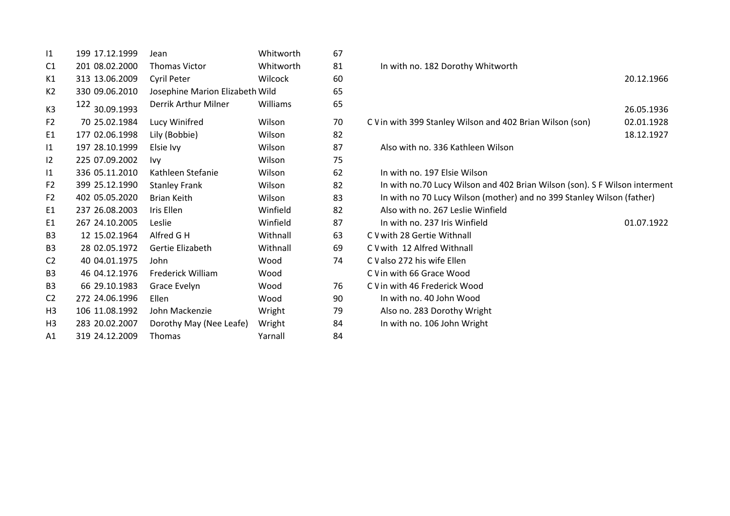| 1              | 199 17.12.1999    | Jean                            | Whitworth | 67 |                                                                        |         |
|----------------|-------------------|---------------------------------|-----------|----|------------------------------------------------------------------------|---------|
| C1             | 201 08.02.2000    | <b>Thomas Victor</b>            | Whitworth | 81 | In with no. 182 Dorothy Whitworth                                      |         |
| K1             | 313 13.06.2009    | Cyril Peter                     | Wilcock   | 60 |                                                                        | 20.12.1 |
| K <sub>2</sub> | 330 09.06.2010    | Josephine Marion Elizabeth Wild |           | 65 |                                                                        |         |
| K <sub>3</sub> | 122<br>30.09.1993 | Derrik Arthur Milner            | Williams  | 65 |                                                                        | 26.05.1 |
| F <sub>2</sub> | 70 25.02.1984     | Lucy Winifred                   | Wilson    | 70 | C V in with 399 Stanley Wilson and 402 Brian Wilson (son)              | 02.01.1 |
| E <sub>1</sub> | 177 02.06.1998    | Lily (Bobbie)                   | Wilson    | 82 |                                                                        | 18.12.1 |
| $\mathsf{I}1$  | 197 28.10.1999    | Elsie Ivy                       | Wilson    | 87 | Also with no. 336 Kathleen Wilson                                      |         |
| 12             | 225 07.09.2002    | Ivy                             | Wilson    | 75 |                                                                        |         |
| 1              | 336 05.11.2010    | Kathleen Stefanie               | Wilson    | 62 | In with no. 197 Elsie Wilson                                           |         |
| F <sub>2</sub> | 399 25.12.1990    | <b>Stanley Frank</b>            | Wilson    | 82 | In with no.70 Lucy Wilson and 402 Brian Wilson (son). S F Wilson inter |         |
| F <sub>2</sub> | 402 05.05.2020    | <b>Brian Keith</b>              | Wilson    | 83 | In with no 70 Lucy Wilson (mother) and no 399 Stanley Wilson (father)  |         |
| E1             | 237 26.08.2003    | Iris Ellen                      | Winfield  | 82 | Also with no. 267 Leslie Winfield                                      |         |
| E1             | 267 24.10.2005    | Leslie                          | Winfield  | 87 | In with no. 237 Iris Winfield                                          | 01.07.1 |
| B <sub>3</sub> | 12 15.02.1964     | Alfred G H                      | Withnall  | 63 | C V with 28 Gertie Withnall                                            |         |
| B <sub>3</sub> | 28 02.05.1972     | Gertie Elizabeth                | Withnall  | 69 | C V with 12 Alfred Withnall                                            |         |
| C <sub>2</sub> | 40 04.01.1975     | John                            | Wood      | 74 | C V also 272 his wife Ellen                                            |         |
| B <sub>3</sub> | 46 04.12.1976     | Frederick William               | Wood      |    | C V in with 66 Grace Wood                                              |         |
| B <sub>3</sub> | 66 29.10.1983     | Grace Evelyn                    | Wood      | 76 | C V in with 46 Frederick Wood                                          |         |
| C <sub>2</sub> | 272 24.06.1996    | Ellen                           | Wood      | 90 | In with no. 40 John Wood                                               |         |
| H <sub>3</sub> | 106 11.08.1992    | John Mackenzie                  | Wright    | 79 | Also no. 283 Dorothy Wright                                            |         |
| H <sub>3</sub> | 283 20.02.2007    | Dorothy May (Nee Leafe)         | Wright    | 84 | In with no. 106 John Wright                                            |         |
| A <sub>1</sub> | 319 24.12.2009    | Thomas                          | Yarnall   | 84 |                                                                        |         |

| C1             | 201 08.02.2000    | <b>Thomas Victor</b>            | Whitworth      | 81 | In with no. 182 Dorothy Whitworth                                          |            |
|----------------|-------------------|---------------------------------|----------------|----|----------------------------------------------------------------------------|------------|
| К1             | 313 13.06.2009    | Cyril Peter                     | <b>Wilcock</b> | 60 |                                                                            | 20.12.1966 |
| K2             | 330 09.06.2010    | Josephine Marion Elizabeth Wild |                | 65 |                                                                            |            |
| K3             | 122<br>30.09.1993 | Derrik Arthur Milner            | Williams       | 65 |                                                                            | 26.05.1936 |
| F2             | 70 25.02.1984     | Lucy Winifred                   | Wilson         | 70 | C V in with 399 Stanley Wilson and 402 Brian Wilson (son)                  | 02.01.1928 |
| E1             | 177 02.06.1998    | Lily (Bobbie)                   | Wilson         | 82 |                                                                            | 18.12.1927 |
| $\overline{1}$ | 197 28.10.1999    | Elsie Ivy                       | Wilson         | 87 | Also with no. 336 Kathleen Wilson                                          |            |
| $\overline{2}$ | 225 07.09.2002    | Ivy                             | Wilson         | 75 |                                                                            |            |
| 11             | 336 05.11.2010    | Kathleen Stefanie               | Wilson         | 62 | In with no. 197 Elsie Wilson                                               |            |
| F2             | 399 25.12.1990    | <b>Stanley Frank</b>            | Wilson         | 82 | In with no.70 Lucy Wilson and 402 Brian Wilson (son). S F Wilson interment |            |
| F <sub>2</sub> | 402 05.05.2020    | <b>Brian Keith</b>              | Wilson         | 83 | In with no 70 Lucy Wilson (mother) and no 399 Stanley Wilson (father)      |            |
| E1             | 237 26.08.2003    | Iris Ellen                      | Winfield       | 82 | Also with no. 267 Leslie Winfield                                          |            |
| E1             | 267 24.10.2005    | Leslie                          | Winfield       | 87 | In with no. 237 Iris Winfield                                              | 01.07.1922 |
| B3             | 12 15.02.1964     | Alfred G H                      | Withnall       | 63 | C V with 28 Gertie Withnall                                                |            |
| B3             | 28 02.05.1972     | Gertie Elizabeth                | Withnall       | 69 | C V with 12 Alfred Withnall                                                |            |
| C <sub>2</sub> | 40 04.01.1975     | John                            | Wood           | 74 | C V also 272 his wife Ellen                                                |            |
| B3             | 46 04.12.1976     | Frederick William               | Wood           |    | C V in with 66 Grace Wood                                                  |            |
| B3             | 66 29.10.1983     | Grace Evelyn                    | Wood           | 76 | C V in with 46 Frederick Wood                                              |            |
| C2             | 272 24.06.1996    | Ellen                           | Wood           | 90 | In with no. 40 John Wood                                                   |            |
| H3             | 106 11.08.1992    | John Mackenzie                  | Wright         | 79 | Also no. 283 Dorothy Wright                                                |            |
| H3             | 283 20.02.2007    | Dorothy May (Nee Leafe)         | Wright         | 84 | In with no. 106 John Wright                                                |            |
|                |                   |                                 |                |    |                                                                            |            |